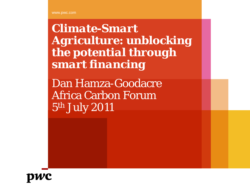*Climate-Smart Agriculture: unblocking the potential through smart financing*

Dan Hamza-Goodacre Africa Carbon Forum 5th July 2011

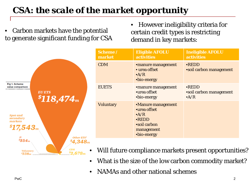## *CSA: the scale of the market opportunity*

• Carbon markets have the potential to generate significant funding for CSA

 ${}^{s}2.678m$ 

• However ineligibility criteria for certain credit types is restricting demand in key markets:

|                                                                | Scheme/<br>market | <b>Eligible AFOLU</b><br><b>activities</b>                                                                    | <b>Ineligible AFOLU</b><br><b>activities</b>                   |
|----------------------------------------------------------------|-------------------|---------------------------------------------------------------------------------------------------------------|----------------------------------------------------------------|
| <b>EU ETS</b><br>$^{\circ}118,474$ m<br>Other ETS <sup>1</sup> | <b>CDM</b>        | •manure management<br>• urea offset<br>$\cdot$ A/R<br>•bio-energy                                             | •REDD<br><b>•soil carbon management</b>                        |
|                                                                | <b>EUETS</b>      | •manure management<br>•urea offset<br>•bio-energy                                                             | $\bullet$ REDD<br><b>•soil carbon management</b><br>$\Delta/R$ |
|                                                                | <b>Voluntary</b>  | •Manure management<br>•urea offset<br>$\cdot$ A/R<br>•REDD<br><b>soil carbon</b><br>management<br>•bio-energy |                                                                |
| $^{\$}4,348_{\mathrm{m}}$                                      |                   |                                                                                                               |                                                                |

- Will future compliance markets present opportunities?
- What is the size of the low carbon commodity market?
- NAMAs and other national schemes

Fig 1. Scheme value comparison

> secondary markets

 $$17,543$ <sub>m</sub>

Voluntary

\$338m

Л  $^{s}354m$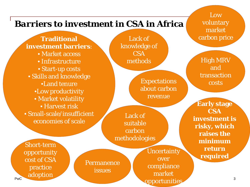## *Barriers to investment in CSA in Africa*

## **Traditional**

**investment barriers**: • Market access

- Infrastructure
- Start-up costs
- Skills and knowledge
	- •Land tenure •Low productivity
	- Market volatility
	- Harvest risk
- Small-scale/insufficient economies of scale

Lack of knowledge of CSA methods

> Expectations about carbon revenue

Lack of suitable carbon methodologies

Short-term opportunity cost of CSA practice adoption

PwC

Permanence issues

**Uncertainty** over compliance market opportunities

Low voluntary market carbon price

High MRV and transaction costs

**Early stage CSA investment is risky, which raises the minimum return required**

3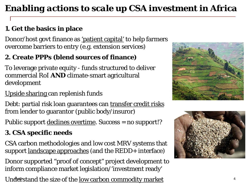## *Enabling actions to scale up CSA investment in Africa*

#### **1. Get the basics in place**

Donor/host govt finance as 'patient capital' to help farmers overcome barriers to entry (e.g. extension services)

#### **2. Create PPPs (blend sources of finance)**

To leverage private equity - funds structured to deliver commercial RoI *AND* climate-smart agricultural development

#### Upside sharing can replenish funds

Debt: partial risk loan guarantees can transfer credit risks from lender to guarantor (public body/insuror)

Public support <u>declines overtime</u>. Success = no support!?

#### **3. CSA specific needs**

CSA carbon methodologies and low cost MRV systems that support landscape approaches (and the REDD+ interface)

Donor supported "proof of concept" project development to inform compliance market legislation/'investment ready'

Understand the size of the <u>low carbon commodity market</u>  $4\,$